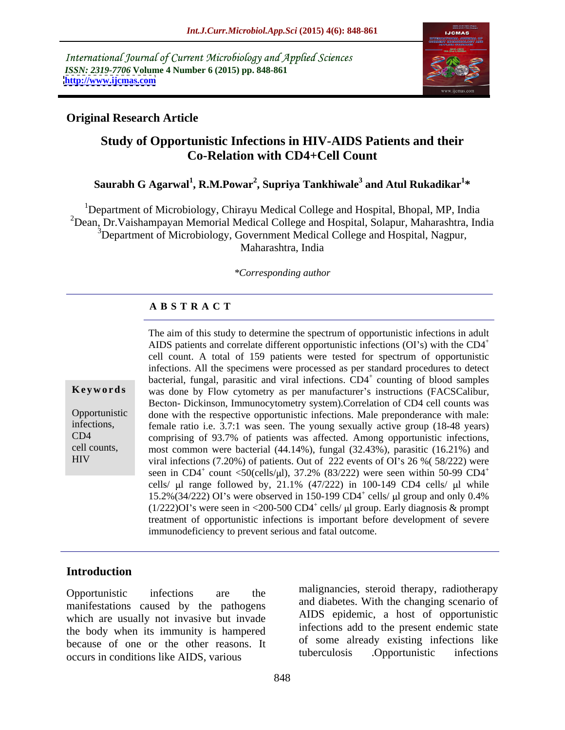International Journal of Current Microbiology and Applied Sciences *ISSN: 2319-7706* **Volume 4 Number 6 (2015) pp. 848-861 <http://www.ijcmas.com>**



## **Original Research Article**

# **Study of Opportunistic Infections in HIV-AIDS Patients and their Co-Relation with CD4+Cell Count**

### $\boldsymbol{\mathrm{Saurabh}}$   $\boldsymbol{\mathrm{G}}$  Agarwal $^1$ , **R.M.P**owar $^2$ , Supriya Tankhiwale $^3$  and Atul Rukadikar $^{1*}$ and Atul Rukadikar<sup>1\*</sup> **\***

<sup>1</sup>Department of Microbiology, Chirayu Medical College and Hospital, Bhopal, MP, India <sup>2</sup>Dean, Dr.Vaishampayan Memorial Medical College and Hospital, Solapur, Maharashtra, India <sup>3</sup>Department of Microbiology, Government Medical College and Hospital, Nagpur, Maharashtra, India

### *\*Corresponding author*

### **A B S T R A C T**

HIV

The aim of this study to determine the spectrum of opportunistic infections in adult AIDS patients and correlate different opportunistic infections (OI's) with the CD4<sup>+</sup> cell count. A total of 159 patients were tested for spectrum of opportunistic infections. All the specimens were processed as per standard procedures to detect bacterial, fungal, parasitic and viral infections. CD4<sup>+</sup> counting of blood samples **Keywords** was done by Flow cytometry as per manufacturer's instructions (FACSCalibur, Becton- Dickinson, Immunocytometry system).Correlation of CD4 cell counts was done with the respective opportunistic infections. Male preponderance with male: Opportunistic infections, female ratio i.e. 3.7:1 was seen. The young sexually active group (18-48 years) comprising of 93.7% of patients was affected. Among opportunistic infections, CD4 most common were bacterial (44.14%), fungal (32.43%), parasitic (16.21%) and cell counts, viral infections  $(7.20\%)$  of patients. Out of 222 events of OI's 26 %  $(58/222)$  were seen in CD4<sup>+</sup> count <50(cells/µl), 37.2% (83/222) were seen within 50-99 CD4<sup>+</sup> cells/  $\mu$ l range followed by, 21.1% (47/222) in 100-149 CD4 cells/  $\mu$ l while 15.2%(34/222) OI's were observed in 150-199 CD4<sup>+</sup> cells/ $\mu$ l group and only 0.4% cells/  $\mu$ l group and only 0.4%  $(1/222)$ OI's were seen in <200-500 CD4<sup>+</sup> cells/  $\mu$ l group. Early diagnosis & prompt treatment of opportunistic infections is important before development of severe immunodeficiency to prevent serious and fatal outcome.

### **Introduction**

Opportunistic infections are the manghancies, steroid inerapy, radiomerapy manifestations caused by the pathogens which are usually not invasive but invade the body when its immunity is hampered because of one or the other reasons. It of some already existing infections like<br>cocurs in conditions like AIDS verious tuberculosis . Opportunistic infections occurs in conditions like AIDS, various

malignancies, steroid therapy, radiotherapy and diabetes. With the changing scenario of AIDS epidemic, a host of opportunistic infections add to the present endemic state of some already existing infections like tuberculosis .Opportunistic infections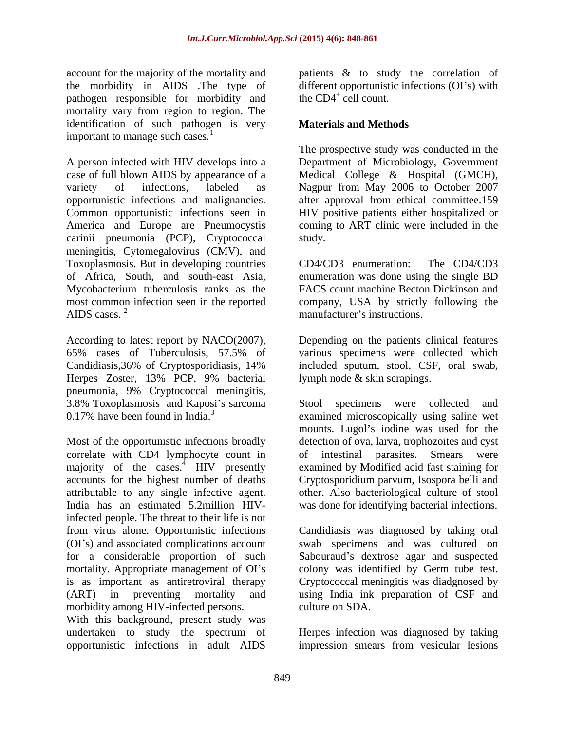account for the majority of the mortality and the morbidity in AIDS .The type of pathogen responsible for morbidity and the CD4<sup>+</sup> cell count. mortality vary from region to region. The identification of such pathogen is very important to manage such cases. $<sup>1</sup>$ </sup>

A person infected with HIV develops into a Department of Microbiology, Government case of full blown AIDS by appearance of a Medical College & Hospital (GMCH), variety of infections, labeled as Nagpur from May 2006 to October 2007 opportunistic infections and malignancies. after approval from ethical committee.159 Common opportunistic infections seen in America and Europe are Pneumocystis coming to ART clinic were included in the carinii pneumonia (PCP), Cryptococcal meningitis, Cytomegalovirus (CMV), and Toxoplasmosis. But in developing countries CD4/CD3 enumeration: The CD4/CD3 of Africa, South, and south-east Asia, enumeration was done using the single BD Mycobacterium tuberculosis ranks as the FACS count machine Becton Dickinson and most common infection seen in the reported company, USA by strictly following the

According to latest report by NACO(2007), Depending on the patients clinical features 65% cases of Tuberculosis, 57.5% of Candidiasis,36% of Cryptosporidiasis, 14% included sputum, stool, CSF, oral swab, Herpes Zoster, 13% PCP, 9% bacterial pneumonia, 9% Cryptococcal meningitis,

Most of the opportunistic infections broadly detection of ova, larva, trophozoites and cyst correlate with CD4 lymphocyte count in majority of the cases.<sup>4</sup> HIV presently accounts for the highest number of deaths attributable to any single infective agent. other. Also bacteriological culture of stool India has an estimated 5.2million HIV-was done for identifying bacterial infections. infected people. The threat to their life is not from virus alone. Opportunistic infections Candidiasis was diagnosed by taking oral (OI s) and associated complications account swab specimens and was cultured on for a considerable proportion of such Sabouraud's dextrose agar and suspected mortality. Appropriate management of OI's colony was identified by Germ tube test. is as important as antiretroviral therapy Cryptococcal meningitis was diadgnosed by (ART) in preventing mortality and using India ink preparation of CSF and morbidity among HIV-infected persons. culture on SDA.

With this background, present study was undertaken to study the spectrum of

patients & to study the correlation of different opportunistic infections  $(OI's)$  with the  $CD4^+$  cell count. cell count.

### **Materials and Methods**

The prospective study was conducted in the HIV positive patients either hospitalized or study.

AIDS cases.<sup>2</sup> manufacturer's instructions. CD4/CD3 enumeration: The CD4/CD3 manufacturer's instructions.

> various specimens were collected which lymph node & skin scrapings.

3.8% Toxoplasmosis and Kaposi s sarcoma Stool specimens were collected and 0.17% have been found in India.<sup>3</sup> examined microscopically using saline wet mounts. Lugol's iodine was used for the intestinal parasites. Smears were examined by Modified acid fast staining for Cryptosporidium parvum, Isospora belli and

culture on SDA.

opportunistic infections in adult AIDS impression smears from vesicular lesionsHerpes infection was diagnosed by taking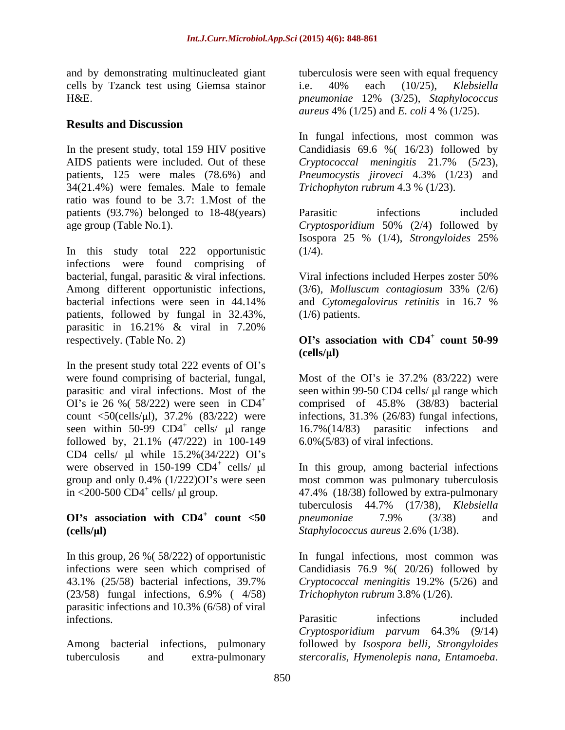cells by Tzanck test using Giemsa stainor i.e. 40% each (10/25), Klebsiella H&E. The preumoniae 12% (3/25), Staphylococcus

## **Results and Discussion**

34(21.4%) were females. Male to female ratio was found to be 3.7: 1.Most of the patients (93.7%) belonged to 18-48(years) Parasitic infections included age group (Table No.1). Cryptosporidium 50% (2/4) followed by

In this study total 222 opportunistic infections were found comprising of bacterial, fungal, parasitic & viral infections. Viral infections included Herpes zoster 50% Among different opportunistic infections, (3/6), *Molluscum contagiosum* 33% (2/6) bacterial infections were seen in 44.14% and *Cytomegalovirus retinitis* in 16.7 % patients, followed by fungal in 32.43%, parasitic in 16.21% & viral in 7.20% **respectively.** (Table No. 2) **OI**'s **association** with CD4<sup>+</sup> count 50-99

In the present study total 222 events of OI's were found comprising of bacterial, fungal, Most of the OI's ie 37.2% (83/222) were count  $\langle 50 \rangle$ (cells/µl), 37.2% (83/222) were seen within  $50-99$  CD4<sup>+</sup> cells/  $\mu$ l range 16.7%(14/83) parasitic infections and followed by, 21.1% (47/222) in 100-149 CD4 cells/  $\mu$ l while 15.2%(34/222) OI's were observed in 150-199  $CD4^+$  cells/  $\mu$ l

 $(23/58)$  fungal infections, 6.9% ( $4/58$ ) Trichophyton rubrum 3.8% (1/26). parasitic infections and 10.3% (6/58) of viral

and by demonstrating multinucleated giant tuberculosis were seen with equal frequency i.e. 40% each (10/25), *Klebsiella pneumoniae* 12% (3/25), *Staphylococcus aureus* 4% (1/25) and *E. coli* 4 % (1/25).

In the present study, total 159 HIV positive Candidiasis 69.6 %( 16/23) followed by AIDS patients were included. Out of these *Cryptococcal meningitis* 21.7% (5/23), patients, 125 were males (78.6%) and *Pneumocystis jiroveci* 4.3% (1/23) and In fungal infections, most common was *Trichophyton rubrum* 4.3 % (1/23).

> Parasitic infections included *Cryptosporidium* 50% (2/4) followed by Isospora 25 % (1/4), *Strongyloides* 25%  $(1/4).$

> Viral infections included Herpes zoster 50% (1/6) patients.

### **count 50-99 (cells/ l)**

parasitic and viral infections. Most of the seen within 99-50 CD4 cells/  $\mu$ l range which OI's ie 26 % (58/222) were seen in  $CD4^+$  comprised of 45.8% (38/83) bacterial  $16.7\% (14/83)$  parasitic Most of the OI's ie  $37.2\%$  (83/222) were infections, 31.3% (26/83) fungal infections, 16.7%(14/83) parasitic infections and 6.0%(5/83) of viral infections.

cells/ l In this group, among bacterial infections group and only 0.4% (1/222)OI s were seen most common was pulmonary tuberculosis  $\sin$  <200-500 CD4<sup>+</sup> cells/  $\mu$ l group. 47.4% (18/38) followed by extra-pulmonary **OI**'s association with  $CD4^+$  count  $\lt 50$  pneumoniae 7.9% (3/38) and **count <50** *pneumoniae* 7.9% (3/38) and **(cells/ l)** *Staphylococcus aureus* 2.6% (1/38). tuberculosis 44.7% (17/38), *Klebsiella pneumoniae* 7.9% (3/38) and

In this group, 26 %( 58/222) of opportunistic In fungal infections, most common was infections were seen which comprised of Candidiasis 76.9 %( 20/26) followed by 43.1% (25/58) bacterial infections,39.7% *Cryptococcal meningitis* 19.2% (5/26) and *Trichophyton rubrum* 3.8% (1/26).

infections. The example of Parasitic infections included Among bacterial infections, pulmonary followed by *Isospora belli, Strongyloides* tuberculosis and extra-pulmonary *stercoralis, Hymenolepis nana, Entamoeba*. Parasitic infections included *Cryptosporidium parvum* 64.3% (9/14)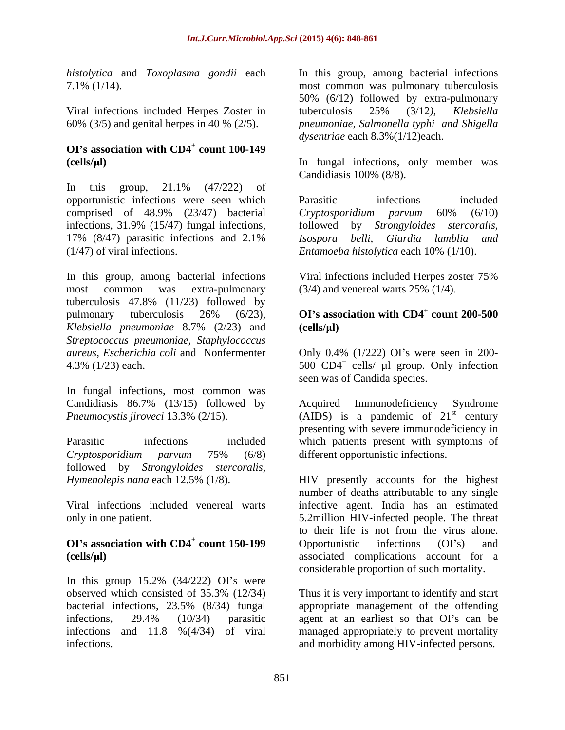Viral infections included Herpes Zoster in tuberculosis 25% (3/12), Klebsiella

### **OI s association with CD4<sup>+</sup> count 100-149**

In this group, 21.1% (47/222) of opportunistic infections were seen which comprised of 48.9% (23/47) bacterial Cryptosporidium parvum 60% (6/10) infections, 31.9% (15/47) fungal infections, followed by Strongyloides stercoralis, 17% (8/47) parasitic infections and 2.1% Isospora belli, Giardia lamblia and (1/47) of viral infections. *Entamoeba histolytica* each 10% (1/10).

In this group, among bacterial infections Viral infections included Herpes zoster 75% most common was extra-pulmonary (3/4) and venereal warts 25% (1/4). tuberculosis 47.8% (11/23) followed by pulmonary tuberculosis 26% (6/23), **OI's association with CD4<sup>+</sup> count 200-500** *Klebsiella pneumoniae* 8.7% (2/23) and *Streptococcus pneumoniae, Staphylococcus aureus, Escherichia coli* and Nonfermenter Only 0.4% (1/222) OI s were seen in 200-

In fungal infections, most common was Candidiasis 86.7% (13/15) followed by

followed by *Strongyloides stercoralis*,

In this group  $15.2\%$   $(34/222)$  OI's were observed which consisted of 35.3% (12/34) Thus it is very important to identify and start bacterial infections, 23.5% (8/34) fungal appropriate management of the offending infections, 29.4% (10/34) parasitic agent at an earliest so that OI's can be infections and 11.8 %(4/34) of viral managed appropriately to prevent mortality infections. and morbidity among HIV-infected persons.

*histolytica* and *Toxoplasma gondii* each In this group, among bacterial infections 7.1% (1/14). most common was pulmonary tuberculosis 60% (3/5) and genital herpes in 40 % (2/5). *pneumoniae, Salmonella typhi and Shigella* 50% (6/12) followed by extra-pulmonary tuberculosis 25% (3/12*), Klebsiella dysentriae* each 8.3%(1/12)each.

**(cells/ l)** In fungal infections, only member was Candidiasis 100% (8/8).

> Parasitic infections included *Cryptosporidium parvum* 60% (6/10) followed by *Strongyloides stercoralis, Isospora belli, Giardia lamblia and*

Viral infections included Herpes zoster 75%

### **OI s association with CD4<sup>+</sup> count 200-500 (cells/ l)**

 $4.3\%$  (1/23) each.  $500$  CD4<sup>+</sup> cells/  $\mu$ l group. Only infection seen was of Candida species.

*Pneumocystis jiroveci* 13.3% (2/15). (AIDS) is a pandemic of 21<sup>st</sup> century Parasitic infections included which patients present with symptoms of *Cryptosporidium parvum* 75% (6/8) Immunodeficiency Syndrome  $\mathbf{S}^{\text{st}}$  century presenting with severe immunodeficiency in different opportunistic infections.

*Hymenolepis nana* each 12.5% (1/8). HIV presently accounts for the highest Viral infections included venereal warts infective agent. India has an estimated only in one patient. 5.2million HIV-infected people. The threat **OI**'s association with CD4<sup>+</sup> count 150-199 Opportunistic infections (OI's) and **count 150-199** • Opportunistic infections (OI's) and **(cells/ l)** associated complications account for a number of deaths attributable to any single to their life is not from the virus alone. Opportunistic infections (OI's) and considerable proportion of such mortality.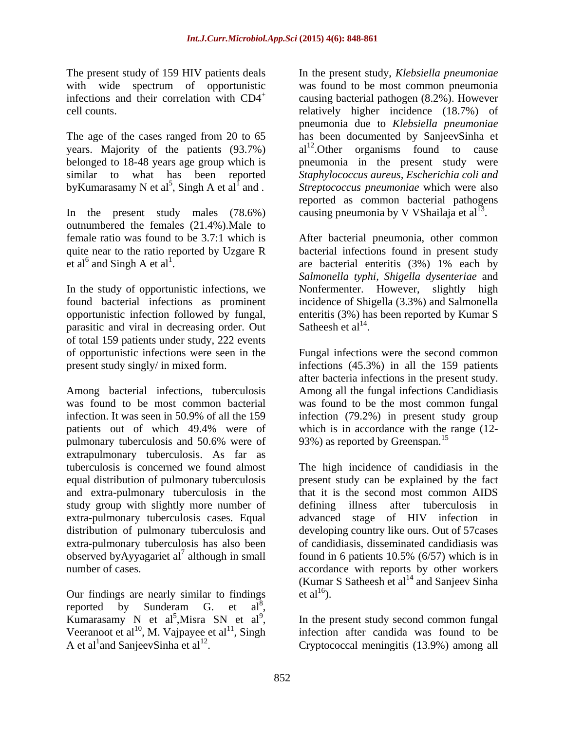The present study of 159 HIV patients deals

by Kumarasamy N et al<sup>5</sup>, Singh A et al<sup>1</sup> and.

In the present study males (78.6%) outnumbered the females (21.4%).Male to quite near to the ratio reported by Uzgare R

In the study of opportunistic infections, we parasitic and viral in decreasing order. Out Satheesh et al<sup>14</sup>. of total 159 patients under study, 222 events

Among bacterial infections, tuberculosis Among all the fungal infections Candidiasis was found to be most common bacterial was found to be the most common fungal infection. It was seen in 50.9% of all the 159 infection (79.2%) in present study group patients out of which 49.4% were of pulmonary tuberculosis and 50.6% were of 93%) as reported by Greenspan.<sup>15</sup> extrapulmonary tuberculosis. As far as tuberculosis is concerned we found almost The high incidence of candidiasis in the equal distribution of pulmonary tuberculosis present study can be explained by the fact and extra-pulmonary tuberculosis in the study group with slightly more number of defining illness after tuberculosis in extra-pulmonary tuberculosis cases. Equal advanced stage of HIV infection in distribution of pulmonary tuberculosis and developing country like ours. Out of 57cases extra-pulmonary tuberculosis has also been of candidiasis, disseminated candidiasis was observed by Ayyagariet al<sup>7</sup> although in small number of cases. accordance with reports by other workers

Our findings are nearly similar to findings et  $al^{16}$ ). reported by Sunderam G. et  $a\tilde{l}^8$ , , Kumarasamy N et al<sup>5</sup>, Misra SN et al<sup>9</sup>, Veeranoot et al<sup>10</sup>, M. Vajpayee et al<sup>11</sup>, Singh A et al<sup>1</sup> and SanjeevSinha et al<sup>12</sup>. A et al<sup>1</sup> and SanjeevSinha et al<sup>12</sup>. Cryptococcal meningitis (13.9%) among all

with wide spectrum of opportunistic was found to be most common pneumonia infections and their correlation with  $CD4^+$  causing bacterial pathogen  $(8.2\%)$ . However cell counts. relatively higher incidence (18.7%) of The age of the cases ranged from 20 to 65 has been documented by SanjeevSinha et years. Majority of the patients  $(93.7%)$  al<sup>12</sup>. Other organisms found to cause belonged to 18-48 years age group which is pneumonia in the present study were similar to what has been reported *Staphylococcus aureus, Escherichia coli and*  , Singh A et al<sup>f</sup> and . Streptococcus pneumoniae which were also In the present study, *Klebsiella pneumoniae* pneumonia due to *Klebsiella pneumoniae* reported as common bacterial pathogens causing pneumonia by V VShailaja et al<sup>13</sup>. .

female ratio was found to be 3.7:1 which is After bacterial pneumonia, other common et al<sup>6</sup> and Singh A et al<sup>1</sup>. are bacterial enteritis (3%) 1% each by found bacterial infections as prominent incidence of Shigella (3.3%) and Salmonella opportunistic infection followed by fungal, enteritis (3%) hasbeen reported by Kumar S bacterial infections found in present study *Salmonella typhi, Shigella dysenteriae* and Nonfermenter. However, slightly high Satheesh et  $al^{14}$ . . A construction of the construction of the construction of the construction of the construction of the construction of the construction of the construction of the construction of the construction of the construction of th

of opportunistic infections were seen in the Fungal infections were the second common present study singly/ in mixed form. infections (45.3%) in all the 159 patients after bacteria infections in the present study. which is in accordance with the range  $(12-$ 93%) as reported by Greenspan.<sup>15</sup>

although in small found in 6 patients 10.5% (6/57) which is in that it is the second most common AIDS defining illness after tuberculosis (Kumar S Satheesh et al<sup>14</sup> and Sanjeev Sinha) et  $al^{16}$ ).

, Misra SN et al<sup>9</sup>, In the present study second common fungal infection after candida was found to be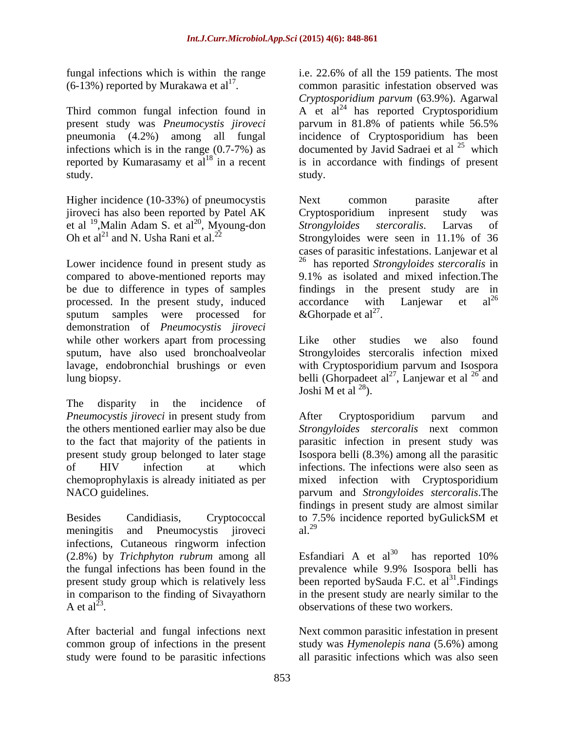present study was *Pneumocystis jiroveci* reported by Kumarasamy et  $al^{18}$  in a recent study. The study of the study.

Higher incidence (10-33%) of pneumocystis Next common parasite after jiroveci has also been reported by Patel AK Cryptosporidium inpresent study was Oh et al<sup>21</sup> and N. Usha Rani et al.<sup>22</sup> Strongyloides were seen in 11.1% of 36

processed. In the present study, induced accordance with Lanjewar et  $al^{26}$  sputum samples were processed for &Ghorpade et  $al^{27}$ . sputum samples were processed for  $\&$  Ghorpade et al<sup>2'</sup>. demonstration of *Pneumocystis jiroveci* while other workers apart from processing Like other studies we also found sputum, have also used bronchoalveolar lavage, endobronchial brushings or even with Cryptosporidium parvum and Isospora lung biopsy. belli (Ghorpadeet al<sup>27</sup>, Lanjewar et al<sup>26</sup> and

The disparity in the incidence of

meningitis and Pneumocystis jiroveci al.<sup>29</sup> infections, Cutaneous ringworm infection<br>  $(2.8\%)$  by *Trichphyton rubrum* among all Esfandiari A et al<sup>30</sup> (2.8%) by *Trichphyton rubrum* among all the fungal infections has been found in the prevalence while 9.9% Isospora belli has present study group which is relatively less been reported bySauda F.C. et al<sup>31</sup>. Findings in comparison to the finding of Sivayathorn A et  $al^{23}$ 

fungal infections which is within the range i.e. 22.6% of all the 159 patients. The most  $(6-13%)$  reported by Murakawa et al<sup>17</sup>. common parasitic infestation observed was (6-13%) reported by Murakawa et al<sup>1'</sup>. common parasitic infestation observed was<br> *Cryptosporidium parvum* (63.9%). Agarwal<br>
Third common fungal infection found in A et al<sup>24</sup> has reported Cryptosporidium pneumonia (4.2%) among all fungal incidence of Cryptosporidium has been infections which is in the range  $(0.7-7%)$  as documented by Javid Sadraei et al <sup>25</sup> which *Cryptosporidium parvum* (63.9%). Agarwal A et  $al^{24}$  has reported Cryptosporidium parvum in 81.8% of patients while 56.5% which **with** is in accordance with findings of present study.

et al  $^{19}$ , Malin Adam S. et al<sup>20</sup>, Myoung-don Strongyloides stercoralis. Larvas of Lower incidence found in present study as  $\frac{26}{3}$  has reported *Strongyloides stercoralis* in compared to above-mentioned reports may 9.1% as isolated and mixed infection.The be due to difference in types of samples findings in the present study are in Next common parasite after Cryptosporidium inpresent study was *Strongyloides stercoralis*. Larvas of Strongyloides were seen in 11.1% of 36 cases of parasitic infestations. Lanjewar et al  $\alpha$ ccordance with Lanjewar et al<sup>26</sup> &Ghorpade et al<sup>27</sup>. . The contract of the contract of the contract of the contract of the contract of the contract of the contract<br>The contract of the contract of the contract of the contract of the contract of the contract of the contract o

> Like other studies we also found Strongyloides stercoralis infection mixed , Lanjewar et al  $^{26}$  and and Joshi M et al  $^{28}$ ).

*Pneumocystis jiroveci* in present study from the others mentioned earlier may also be due *Strongyloides stercoralis* next common to the fact that majority of the patients in parasitic infection in present study was present study group belonged to later stage Isospora belli (8.3%) among all the parasitic of HIV infection at which infections. The infections were also seen as chemoprophylaxis is already initiated as per mixed infection with Cryptosporidium NACO guidelines. parvum and *Strongyloides stercoralis*.The Besides Candidiasis, Cryptococcal to 7.5% incidence reported byGulickSM et After Cryptosporidium parvum and findings in present study are almost similar al.<sup>29</sup> and  $\overline{a}$  are  $\overline{a}$  and  $\overline{a}$  and  $\overline{a}$  and  $\overline{a}$  and  $\overline{a}$  and  $\overline{a}$  and  $\overline{a}$  and  $\overline{a}$  and  $\overline{a}$  and  $\overline{a}$  and  $\overline{a}$  and  $\overline{a}$  and  $\overline{a}$  and  $\overline{a}$  and  $\overline{a}$  and

A et  $al^{23}$ . observations of these two workers. Esfandiari A et al $^{30}$  has reported 10% prevalence while 9.9% Isospora belli has in the present study are nearly similar to the

After bacterial and fungal infections next Next common parasitic infestation in present common group of infections in the present study was *Hymenolepis nana* (5.6%) among study were found to be parasitic infections all parasitic infections which was also seen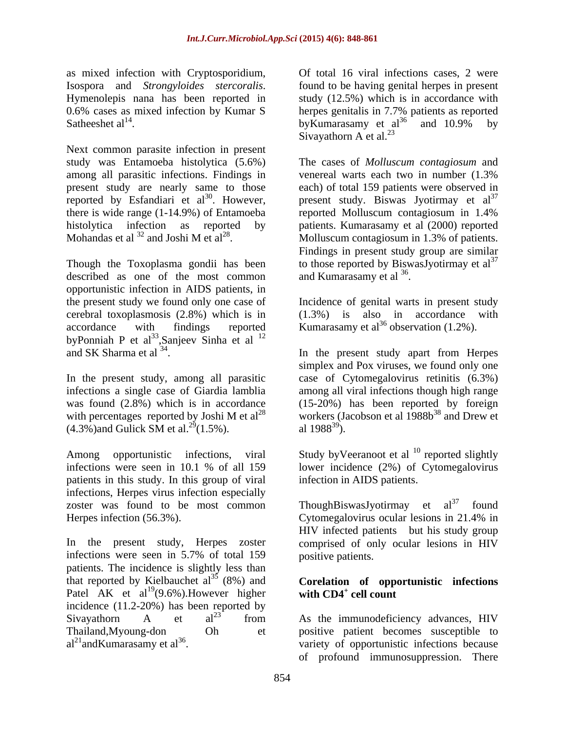as mixed infection with Cryptosporidium, Satheeshet  $al^{14}$ . by Eumarasamy et  $al^{36}$  and  $10.9\%$  by

Next common parasite infection in present study was Entamoeba histolytica (5.6%) The cases of *Molluscum contagiosum* and among all parasitic infections. Findings in venereal warts each two in number  $(1.3\%$ present study are nearly same to those reported by Esfandiari et  $al^{30}$ . However, there is wide range (1-14.9%) of Entamoeba histolytica infection as reported by patients. Kumarasamy et al (2000) reported Mohandas et al  $^{32}$  and Joshi M et al<sup>28</sup>. Molluscum contagiosum in 1.3% of patients.

described as one of the most common and Kumarasamy et al  $36$ . opportunistic infection in AIDS patients, in the present study we found only one case of Incidence of genital warts in present study cerebral toxoplasmosis (2.8%) which is in accordance with findings reported Kumarasamy et  $al^{36}$  observation (1.2%). byPonniah P et al<sup>33</sup>,Sanjeev Sinha et al  $12$ and SK Sharma et al  $34$ . In the present study apart from Herpes

In the present study, among all parasitic  $(4.3\%)$  and Gulick SM et al.<sup>29</sup> $(1.5\%)$ . al. 1988<sup>39</sup>).

infections were seen in 10.1 % of all 159 lower incidence (2%) of Cytomegalovirus patients in this study. In this group of viral infections, Herpes virus infection especially zoster was found to be most common ThoughBiswasJyotirmay et al<sup>37</sup> found Herpes infection (56.3%). Cytomegalovirus ocular lesions in 21.4% in

In the present study, Herpes zoster infections were seen in 5.7% of total 159 patients. The incidence is slightly less than that reported by Kielbauchet  $al^{35}$  (8%) and Patel AK et al<sup>19</sup>(9.6%). However higher with CD4<sup>+</sup> cell count incidence (11.2-20%) has been reported by<br>Siyavathorn  $\overline{A}$  et  $a^{123}$  from Sivayathorn A et  $al^{23}$  from As the immunodeficiency advances, HIV Thailand,Myoung-don Oh et positive patient becomes susceptible to  $al<sup>21</sup>$ andKumarasamy et al<sup>36</sup>.  $\overline{a}$  variety of opportunistic infections because

Isospora and *Strongyloides stercoralis*. found to be having genital herpes in present<br>Hymenolepis nana has been reported in study (12.5%) which is in accordance with 0.6% cases as mixed infection by Kumar S herpes genitalis in 7.7% patients as reported Satheeshet  $al^{14}$ . by Kumarasamy et  $al^{36}$  and  $10.9\%$  by found to be having genital herpes in present study (12.5%) which is in accordance with by Kumarasamy et al<sup>36</sup> and 10.9% by Sivayathorn A et al. $^{23}$ 

. However, present study. Biswas Jyotirmay et  $al^{37}$ Though the Toxoplasma gondii has been to those reported by BiswasJyotirmay et  $al^{37}$ Cryptosporidium, Of total 16 viral infections cases, 2 were<br>
necessary control to the binal infections cases, 2 were the since the present reported in such that is the acordance with<br>
bien infections in present cases of venereal warts each two in number (1.3% each) of total 159 patients were observed in reported Molluscum contagiosum in 1.4% Findings in present study group are similar and Kumarasamy et al  $^{36}$ . .

 $(1.3\%)$  is also in accordance

. In the present study apart from Herpes infections a single case of Giardia lamblia among all viral infections though high range was found (2.8%) which is in accordance (15-20%) has been reported by foreign with percentages reported by Joshi M et al<sup>28</sup> workers (Jacobson et al  $1988b^{38}$  and Drew et simplex and Pox viruses, we found only one case of Cytomegalovirus retinitis (6.3%) al  $1988^{39}$ ).

Among opportunistic infections, viral Study byVeeranoot et al <sup>10</sup> reported slightly reported slightly infection in AIDS patients.

> ThoughBiswasJyotirmay et  $al^{37}$ Cytomegalovirus ocular lesions in 21.4% in HIV infected patients but his study group comprised of only ocular lesions in HIV positive patients.

### **Corelation of opportunistic infections** with  $CD4^+$  cell count  **cell count**

As the immunodeficiency advances, HIV of profound immunosuppression. There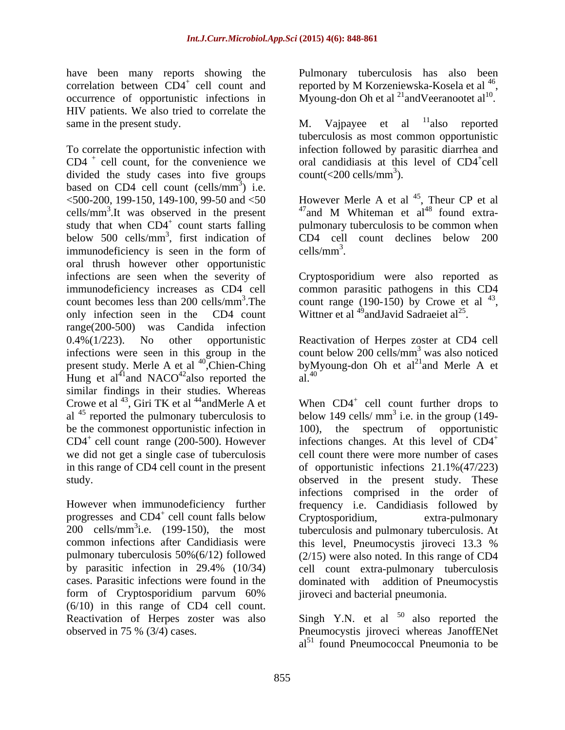have been many reports showing the Pulmonary tuberculosis has also been correlation between  $CD4^+$  cell count and reported by M Korzeniewska-Kosela et al  $^{46}$ , occurrence of opportunistic infections in Myoung-don Oh et al <sup>21</sup> and Veeranootet al <sup>10</sup>. HIV patients. We also tried to correlate the<br>same in the present study.<br>  $M.$  Vajpayee et al  $^{11}$ also reported same in the present study. M. Vaipayee et all

To correlate the opportunistic infection with infection followed by parasitic diarrhea and  $CD4^+$  cell count, for the convenience we oral candidiasis at this level of  $CD4^+$ cell divided the study cases into five groups count( $\langle 200 \text{ cells/mm}^3 \rangle$ ). based on CD4 cell count (cells/ $mm<sup>3</sup>$ ) i.e.  $3)$  i.e. ) i.e.  $500-200$ , 199-150, 149-100, 99-50 and  $50$  However Merle A et al <sup>45</sup>, Theur CP et al cells/mm<sup>3</sup>.It was observed in the present  $47$  and M Whiteman et al<sup>48</sup> found extrastudy that when CD4<sup>+</sup> count starts falling pulmonary tuberculosis to be common when below 500 cells/mm<sup>3</sup>, first indication of immunodeficiency is seen in the form of cells/ $mm<sup>3</sup>$ . oral thrush however other opportunistic infections are seen when the severity of Cryptosporidium were also reported as immunodeficiency increases as CD4 cell common parasitic pathogens in this CD4 count becomes less than 200 cells/mm<sup>3</sup>. The only infection seen in the CD4 count Wittner et al <sup>49</sup> and Javid Sadraeiet al<sup>25</sup>. range(200-500) was Candida infection 0.4%(1/223). No other opportunistic Reactivation of Herpes zoster at CD4 cell infections were seen in this group in the present study. Merle A et al <sup>40</sup>, Chien-Ching by M<sub>Huno</sub> et al<sup>41</sup> and NACO<sup>42</sup>also reported the al <sup>40</sup> Hung et al<sup>41</sup>and NACO<sup>42</sup>also reported the similar findings in their studies. Whereas Crowe et al  $^{43}$ , Giri TK et al  $^{44}$ andMerle A et al  $45$  reported the pulmonary tuberculosis to be the commonest opportunistic infection in 100), the spectrum of opportunistic we did not get a single case of tuberculosis in this range of CD4 cell count in the present

progresses and  $CD4^+$  cell count falls below Cryptosporidium, extra-pulmonary common infections after Candidiasis were this level. Pneumocystis iiroveci 13.3 % form of Cryptosporidium parvum 60% (6/10) in this range of CD4 cell count. Reactivation of Herpes zoster was also  $\sim$  Singh Y.N. et al<sup>50</sup> also reported the observed in 75 % (3/4) cases. Pneumocystis jiroveci whereas JanoffENet

reported by M Korzeniewska-Kosela et al <sup>40</sup>,<br>Myoung-don Oh et al <sup>21</sup>andVeeranootet al <sup>10</sup>. .

M. Vajpayee et al <sup>11</sup>also reported also reported tuberculosis as most common opportunistic cell count( $\langle$ 200 cells/mm<sup>3</sup>). ).

<sup>3</sup>, first indication of CD4 cell count declines below 200 However Merle A et al  $^{45}$ , Theur CP et al , Theur CP et al  $^{47}$ and M Whiteman et al<sup>48</sup> found extra- $\text{cells/mm}^3$ .

<sup>3</sup>. The count range (190-150) by Crowe et al  $^{43}$ , cells/mm<sup>3</sup>.<br>Cryptosporidium were also reported as count range (190-150) by Crowe et al  $^{43}$ ,<br>Wittner et al  $^{49}$ andJavid Sadraeiet al<sup>25</sup>. .

Chien-Ching byMyoung-don Oh et al<sup>21</sup>and Merle A et  $^{42}$ also reported the  $\frac{1}{40}$ also reported the  $al^{40}$ . count below 200 cells/ $mm<sup>3</sup>$  was also noticed  $3$  wee also noticed was also noticed  $a^{1.40}$ 

reported the pulmonary tuberculosis to below 149 cells/ $\text{mm}^3$  i.e. in the group (149- $CD4^+$  cell count range (200-500). However infections changes. At this level of  $CD4^+$ study. observed in the present study. These However when immunodeficiency further frequency i.e. Candidiasis followed by cell count falls below Cryptosporidium, extra-pulmonary  $200$  cells/mm<sup>3</sup>i.e. (199-150), the most tuberculosis and pulmonary tuberculosis. At pulmonary tuberculosis 50%(6/12) followed (2/15) were also noted. In this range of CD4 by parasitic infection in 29.4% (10/34) cell count extra-pulmonary tuberculosis cases. Parasitic infections were found in the dominated with addition of Pneumocystis When CD4<sup>+</sup> cell count further drops to  $3:$  a in the group  $(140)$ i.e. in the group (149- 100), the spectrum of opportunistic cell count there were more number of cases of opportunistic infections 21.1%(47/223) infections comprised in the order of Cryptosporidium, extra-pulmonary this level, Pneumocystis jiroveci 13.3 % jiroveci and bacterial pneumonia.

 $a<sup>51</sup>$  found Pneumococcal Pneumonia to be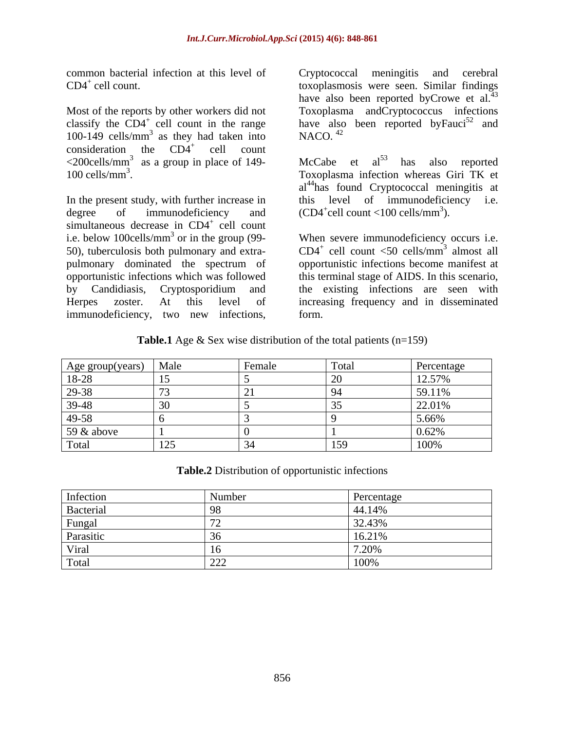common bacterial infection at this level of Cryptococcal meningitis and cerebral

Most of the reports by other workers did not classify the  $CD4^+$  cell count in the range have also been reported by Fauci<sup>52</sup> and 100-149 cells/mm<sup>3</sup> as they had taken into NACO.<sup>42</sup> consideration the  $CD4^+$  cell count cell count count  $\langle$ 200cells/mm<sup>3</sup> as a group in place of 149- McCabe et al<sup>53</sup> has also reported

In the present study, with further increase in this level of immunodeficiency i.e. degree of immunodeficiency and  $(CD4<sup>+</sup>cell count < 100$  cells/mm<sup>3</sup>). simultaneous decrease in  $CD4^+$  cell count cell count count of the count of the count of the count of the count of the count of the count of the count of the count of the count of the count of the count of the count of the count of the count of the count of the cou i.e. below 100cells/mm<sup>3</sup> or in the group (99-<br>When severe immunodeficiency occurs i.e. 50), tuberculosis both pulmonary and extra pulmonary dominated the spectrum of opportunistic infections become manifest at opportunistic infections which was followed this terminal stage of AIDS. In this scenario, by Candidiasis, Cryptosporidium and the existing infections are seen with Herpes zoster. At this level of increasing frequency and in disseminated common bacterial infection at this level of<br>
local meningitis and cerebral<br>
morphassis were seen. Similar findings<br>
have also been reported by Cnowe et al.<sup>33</sup><br>
classify the CD4<sup>1</sup> cell count in the range<br>
classify the CD

CD4<sup>+</sup> cell count. toxoplasmosis were seen. Similar findings as they had taken into  $NACO$ .  $42$ have also been reported byCrowe et  $al^{43}$ . Toxoplasma andCryptococcus infections and NACO. $^{42}$ 

100 cells/mm<sup>3</sup> . Toxoplasma infection whereas Giri TK et McCabe et  $al^{53}$  has also reported al<sup>44</sup>has found Cryptococcal meningitis at cell count  $<$ 100 cells/mm<sup>3</sup>). ).

> $CD4^+$  cell count <50 cells/mm<sup>3</sup> almost all cell count  $\leq 50$  cells/mm<sup>3</sup> almost all  $3$  elmost e<sup>11</sup> almost all form.

**Table.1** Age & Sex wise distribution of the total patients (n=159)

| Age group(years)                 | $M_0l_0$<br>viai | Female | Total                | Percentage       |
|----------------------------------|------------------|--------|----------------------|------------------|
| $8 - 28$                         |                  |        | $\sim$ $\sim$        | 12.57%           |
| າດ 2 ຊ<br>$27 - 30$              |                  |        |                      | 59.11%           |
| $\overline{A}$ $\Omega$<br>39-48 |                  |        |                      | 22.01%           |
| $ 49-58\rangle$                  |                  |        |                      | 5.66%            |
| $59 \& above$                    |                  |        |                      | $\sim$<br>3.02/0 |
| 1 otal                           | $\sqrt{12}$      |        | 50<br>$\overline{1}$ | 100%             |

**Table.2** Distribution of opportunistic infections

| miccuo   |  |
|----------|--|
| Bacteria |  |
|          |  |
| Parasıtı |  |
|          |  |
|          |  |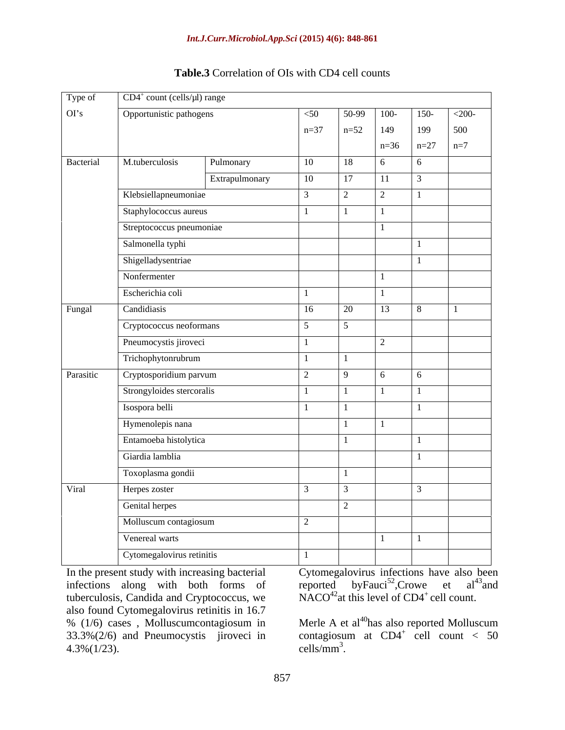| Type of   | $CD4^+$ count (cells/ $\mu$ l) range |                |                  |                |                  |                |                |  |
|-----------|--------------------------------------|----------------|------------------|----------------|------------------|----------------|----------------|--|
| OI's      | Opportunistic pathogens              |                | $<$ 50           | $50-99$        | $100 -$          | $150 -$        | $<$ 200-       |  |
|           |                                      |                | $n=37$           | $n=52$         | 149              | 199            | 500            |  |
|           |                                      |                |                  |                | $n=36$           | $n=27$         | $n=7$          |  |
| Bacterial | M.tuberculosis                       | Pulmonary      | 10               | 18             | -6               | 6 <sup>6</sup> |                |  |
|           |                                      | Extrapulmonary | $\vert 10 \vert$ | 17             | 11               | $\vert$ 3      |                |  |
|           | Klebsiellapneumoniae                 |                |                  | $\gamma$       | 2                | $\overline{1}$ |                |  |
|           | Staphylococcus aureus                |                |                  | $\sim$ 1       |                  |                |                |  |
|           | Streptococcus pneumoniae             |                |                  |                |                  |                |                |  |
|           | Salmonella typhi                     |                |                  |                |                  | $\overline{1}$ |                |  |
|           | Shigelladysentriae                   |                |                  |                |                  | $\overline{1}$ |                |  |
|           | Nonfermenter                         |                |                  |                |                  |                |                |  |
|           | Escherichia coli                     |                |                  |                | $\overline{1}$   |                |                |  |
| Fungal    | Candidiasis                          |                | 16               | 20             | 13               | 8              | $\blacksquare$ |  |
|           | Cryptococcus neoformans              |                | $\sim$           | $\sim$         |                  |                |                |  |
|           | Pneumocystis jiroveci                |                |                  |                | $2^{\circ}$      |                |                |  |
|           | Trichophytonrubrum                   |                | $\blacksquare$   | $\overline{1}$ |                  |                |                |  |
| Parasitic | Cryptosporidium parvum               |                | $\mathcal{L}$    | $\overline{9}$ | 6 <sup>6</sup>   | 6 <sup>6</sup> |                |  |
|           | Strongyloides stercoralis            |                | $\overline{1}$   | $\Box$         | $\vert$ 1        | $\vert$ 1      |                |  |
|           | Isospora belli                       |                |                  | $\blacksquare$ |                  | $\overline{1}$ |                |  |
|           | Hymenolepis nana                     |                |                  | $\overline{1}$ | $\blacksquare$ 1 |                |                |  |
|           |                                      |                |                  | $\blacksquare$ |                  | $\overline{1}$ |                |  |
|           | Entamoeba histolytica                |                |                  |                |                  | $\overline{1}$ |                |  |
|           | Giardia lamblia                      |                |                  |                |                  |                |                |  |
|           | Toxoplasma gondii                    |                |                  | $\overline{1}$ |                  |                |                |  |
| Viral     | Herpes zoster                        |                |                  |                |                  | $\mathcal{R}$  |                |  |
|           | Genital herpes                       |                |                  |                |                  |                |                |  |
|           | Molluscum contagiosum                |                | $\gamma$         |                |                  |                |                |  |
|           | Venereal warts                       |                |                  |                | $\pm 1$ .        | $\vert$ 1      |                |  |
|           | Cytomegalovirus retinitis            |                | $\blacksquare$   |                |                  |                |                |  |

## **Table.3** Correlation of OIs with CD4 cell counts

In the present study with increasing bacterial Cytomegalovirus infections have also been infections along with both forms of tuberculosis, Candida and Cryptococcus, we also found Cytomegalovirus retinitis in 16.7<br>% (1/6) cases, Molluscumcontagiosum in % ( $1/6$ ) cases, Molluscumcontagiosum in Merle A et al<sup>40</sup>has also reported Molluscum 33.3%(2/6) and Pneumocystis jiroveci in  $4.3\%$  (1/23). cells/mm<sup>3</sup>.

byFauci<sup>52</sup>,Crowe et al<sup>43</sup> and , Crowe et al<sup>43</sup> and  $NACO<sup>42</sup>$ at this level of CD4<sup>+</sup> cell count.

contagiosum at  $CD4^+$  cell count < 50 cell count < 50  $\text{cells/mm}^3$ . cells/ $mm^3$ .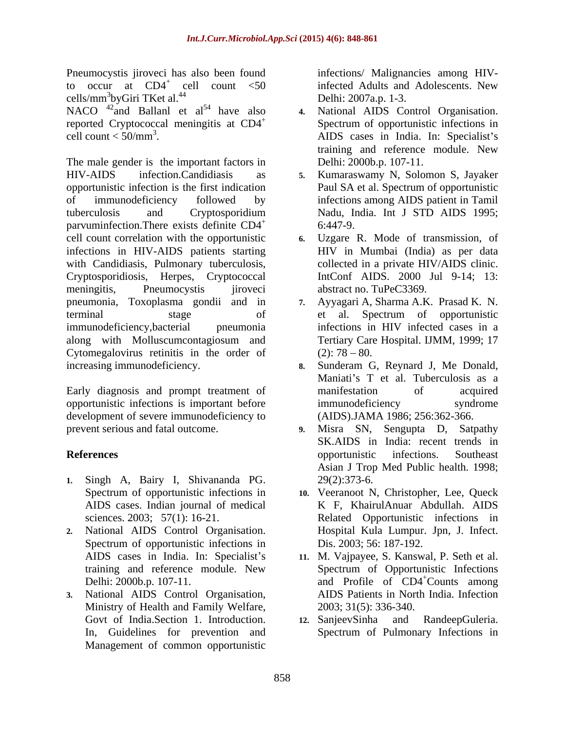Pneumocystis jiroveci has also been found to occur at  $CD4^+$  cell count  $\leq 50$ cells/mm<sup>3</sup>byGiri TKet al.<sup>44</sup>

NACO  $^{42}$  and Ballanl et al<sup>54</sup> have also 4. reported Cryptococcal meningitis at CD4<sup>+</sup>

The male gender is the important factors in HIV-AIDS infection.Candidiasis as **5.** Kumaraswamy N, Solomon S, Jayaker opportunistic infection is the first indication Paul SA et al. Spectrum of opportunistic of immunodeficiency followed by infections among AIDS patient in Tamil tuberculosis and Cryptosporidium parvuminfection. There exists definite  $CD4^+$  6:447-9. cell count correlation with the opportunistic **6.** Uzgare R. Mode of transmission, of infections in HIV-AIDS patients starting with Candidiasis, Pulmonary tuberculosis, Cryptosporidiosis, Herpes, Cryptococcal meningitis, Pneumocystis jiroveci abstract no. TuPeC3369. pneumonia, Toxoplasma gondii and in terminal stage of et al. Spectrum of opportunistic immunodeficiency,bacterial pneumonia infections in HIV infected cases in a along with Molluscumcontagiosum and Cytomegalovirus retinitis in the order of  $(2)$ : 78 – 80. increasing immunodeficiency. **8.** Sunderam G, Reynard J, Me Donald,

Early diagnosis and prompt treatment of manifestation of acquired opportunistic infections is important before development of severe immunodeficiency to prevent serious and fatal outcome. **9.** Misra SN, Sengupta D, Satpathy

- **1.** Singh A, Bairy I, Shivananda PG.
- **2.** National AIDS Control Organisation. Spectrum of opportunistic infections in
- **3.** National AIDS Control Organisation, Ministry of Health and Family Welfare, Management of common opportunistic

infected Adults and Adolescents. New byGiri TKet al. $^{44}$  Delhi: 2007a.p. 1-3. infections/ Malignancies among HIVinfected Adults and Adolescents. New Delhi: 2007a.p. 1-3.

- cell count < 50/mm<sup>3</sup> . AIDS cases in India. In: Specialist s **4.** National AIDS Control Organisation. Spectrum of opportunistic infections in training and reference module. New Delhi: 2000b.p. 107-11.
	- Nadu, India. Int J STD AIDS 1995; 6:447-9.
	- HIV in Mumbai (India) as per data collected in a private HIV/AIDS clinic. IntConf AIDS. 2000 Jul 9-14; 13:
	- **7.** Ayyagari A, Sharma A.K. Prasad K. N. et al. Spectrum of opportunistic Tertiary Care Hospital. IJMM, 1999; 17  $(2)$ : 78 – 80.
	- Maniati's T et al. Tuberculosis as a manifestation of acquired immunodeficiency syndrome (AIDS).JAMA 1986; 256:362-366.
- **References Conserverse Exercise Exercise Exercise Southeast and Algebra 2 and Algebra 2 and Algebra 2 and Algebra 2 and Algebra 2 and Algebra 2 and Algebra 2 and Algebra 2 and Algebra 2 and Algebra 2 and Algebra 2 and A 9.** Misra SN, Sengupta D, Satpathy SK.AIDS in India: recent trends in opportunistic infections. Southeast Asian J Trop Med Public health. 1998; 29(2):373-6.
	- Spectrum of opportunistic infections in **10.** Veeranoot N, Christopher, Lee, Queck AIDS cases. Indian journal of medical K F, KhairulAnuar Abdullah. AIDS sciences. 2003; 57(1): 16-21. Related Opportunistic infections in Hospital Kula Lumpur. Jpn, J. Infect. Dis. 2003; 56: 187-192.
	- AIDS cases in India. In: Specialist's 11. M. Vajpayee, S. Kanswal, P. Seth et al. training and reference module. New Spectrum of Opportunistic Infections Delhi: 2000b.p. 107-11. and Profile of CD4<sup>+</sup>Counts among AIDS Patients in North India. Infection 2003; 31(5): 336-340.
	- Govt of India.Section 1. Introduction. 12. SanjeevSinha and RandeepGuleria. In, Guidelines for prevention and Spectrum of Pulmonary Infections in**12.** SanjeevSinha and RandeepGuleria.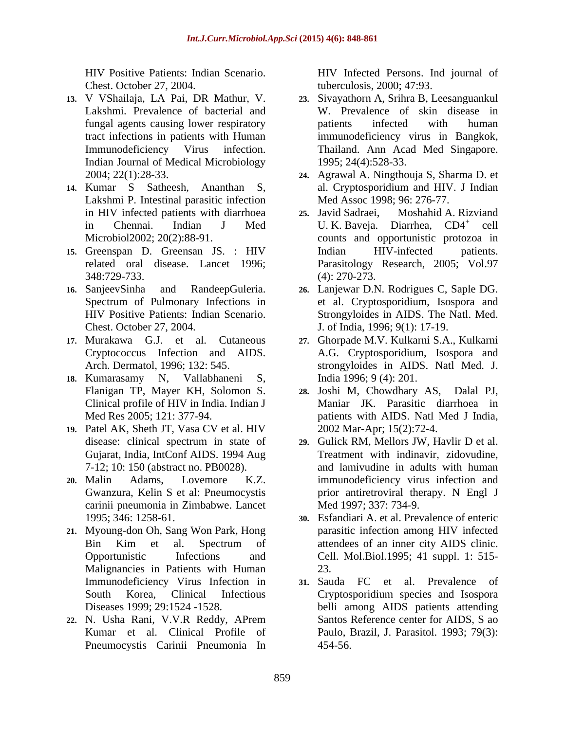Chest. October 27, 2004. tuberculosis, 2000; 47:93.

- **13.** V VShailaja, LA Pai, DR Mathur, V. Indian Journal of Medical Microbiology
- **14.** Kumar S Satheesh, Ananthan S, Lakshmi P. Intestinal parasitic infection<br>
in HIV infected patients with diarrhoea<br>
25. Javid Sadraei, Moshahid A. Rizviand in HIV infected patients with diarrhoea 25. Javid Sadraei,
- **15.** Greenspan D. Greensan JS. : HIV
- 
- Cryptococcus Infection and AIDS.
- **18.** Kumarasamy N, Vallabhaneni S,
- **19.** Patel AK, Sheth JT, Vasa CV et al. HIV Gujarat, India, IntConf AIDS. 1994 Aug
- carinii pneumonia in Zimbabwe. Lancet
- **21.** Myoung-don Oh, Sang Won Park, Hong Malignancies in Patients with Human 23. Immunodeficiency Virus Infection in
- Kumar et al. Clinical Profile of Pneumocystis Carinii Pneumonia In

HIV Positive Patients: Indian Scenario. HIV Infected Persons. Ind journal of

- Lakshmi. Prevalence of bacterial and W. Prevalence of skin disease in fungal agents causing lower respiratory tract infections in patients with Human immunodeficiency virus in Bangkok, Immunodeficiency Virus infection. Thailand. Ann Acad Med Singapore. **23.** Sivayathorn A, Srihra B, Leesanguankul patients infected with human 1995; 24(4):528-33.
- 2004; 22(1):28-33. **24.** Agrawal A. Ningthouja S, Sharma D. et al. Cryptosporidium and HIV. J Indian Med Assoc 1998; 96: 276-77.
- in Chennai. Indian J Med U.K. Baveja. Diarrhea, CD4<sup>+</sup> cell Microbiol2002; 20(2):88-91. counts and opportunistic protozoa in related oral disease. Lancet 1996; Parasitology Research, 2005; Vol.97 348:729-733. **25.** Javid Sadraei, Moshahid A. Rizviand cell Indian HIV-infected patients. (4): 270-273.
- **16.** SanjeevSinha and RandeepGuleria. **26.** Lanjewar D.N. Rodrigues C, Saple DG. Spectrum of Pulmonary Infections in et al. Cryptosporidium, Isospora and HIV Positive Patients: Indian Scenario. Strongyloides in AIDS. The Natl. Med. Chest. October 27, 2004. J. of India, 1996; 9(1): 17-19.
- **17.** Murakawa G.J. et al. Cutaneous **27.** Ghorpade M.V. Kulkarni S.A., Kulkarni Arch. Dermatol, 1996; 132: 545. strongyloides in AIDS. Natl Med. J. A.G. Cryptosporidium, Isospora and India 1996; 9 (4): 201.
	- Flanigan TP, Mayer KH, Solomon S. Clinical profile of HIV in India. Indian J Maniar JK. Parasitic diarrhoea in Med Res 2005; 121: 377-94. patients with AIDS. Natl Med J India, 28. Joshi M, Chowdhary AS, 2002 Mar-Apr; 15(2):72-4.
- disease: clinical spectrum in state of **29.** Gulick RM, Mellors JW, Havlir D et al. 7-12; 10: 150 (abstract no. PB0028). and lamivudine in adults with human **20.** Malin Adams, Lovemore K.Z. immunodeficiency virus infection and Gwanzura, Kelin S et al: Pneumocystis prior antiretroviral therapy. N Engl J Treatment with indinavir, zidovudine, Med 1997; 337: 734-9.
	- 1995; 346: 1258-61. **30.** Esfandiari A. et al. Prevalence of enteric Bin Kim et al. Spectrum of attendees of an inner city AIDS clinic. Opportunistic Infections and Cell. Mol.Biol.1995; 41 suppl. 1: 515 parasitic infection among HIV infected attendees of an inner city AIDS clinic. 23.
- South Korea, Clinical Infectious Cryptosporidium species and Isospora Diseases 1999; 29:1524 -1528. belli among AIDS patients attending **22.** N. Usha Rani, V.V.R Reddy, APrem **31.** Sauda FC et al. Prevalence of Santos Reference center for AIDS, S ao Paulo, Brazil, J. Parasitol. 1993; 79(3): 454-56.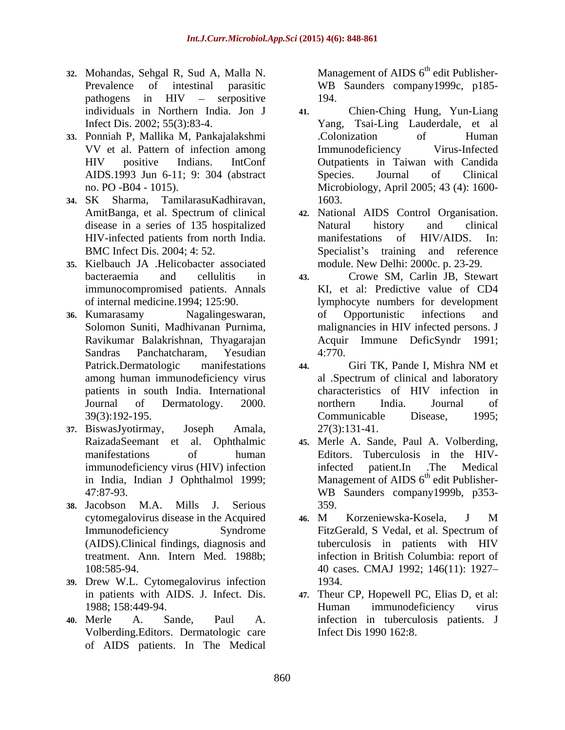- **32.** Mohandas, Sehgal R, Sud A, Malla N. Prevalence of intestinal parasitic WB Saunders company1999c, p185 pathogens in HIV – serpositive 194. individuals in Northern India. Jon J
- **33.** Ponniah P, Mallika M, Pankajalakshmi
- 
- **35.** Kielbauch JA .Helicobacter associated immunocompromised patients. Annals
- 
- **37.** BiswasJyotirmay, Joseph Amala,
- **38.** Jacobson M.A. Mills J. Serious
- **39.** Drew W.L. Cytomegalovirus infection
- Volberding.Editors. Dermatologic care of AIDS patients. In The Medical

Management of AIDS  $6<sup>th</sup>$  edit Publisher-194.

- Infect Dis. 2002; 55(3):83-4. Yang, Tsai-Ling Lauderdale, et al VV et al. Pattern of infection among HIV positive Indians. IntConf Outpatients in Taiwan with Candida AIDS.1993 Jun 6-11; 9: 304 (abstract no. PO -B04 - 1015). Microbiology, April 2005; 43 (4): 1600- **34.** SK Sharma, TamilarasuKadhiravan, **41.** Chien-Ching Hung, Yun-Liang .Colonization of Human Immunodeficiency Virus-Infected Species. Journal of Clinical 1603.
	- AmitBanga, et al. Spectrum of clinical **42.** National AIDS Control Organisation. disease in a series of 135 hospitalized Natural history and clinical HIV-infected patients from north India. BMC Infect Dis. 2004; 4: 52. Specialist's training and reference Natural history and clinical manifestations of HIV/AIDS. In: module. New Delhi: 2000c. p. 23-29.
- bacteraemia and cellulitis in **43.** Crowe SM, Carlin JB, Stewart of internal medicine.1994; 125:90. lymphocyte numbers for development **36.** Kumarasamy Nagalingeswaran, Solomon Suniti, Madhivanan Purnima, malignancies in HIV infected persons. J Ravikumar Balakrishnan, Thyagarajan Acquir Immune DeficSyndr 1991; Sandras Panchatcharam, Yesudian KI, et al: Predictive value of CD4 of Opportunistic infections and 4:770.
	- Patrick.Dermatologic manifestations 44. Giri TK, Pande I, Mishra NM et among human immunodeficiency virus patients in south India. International characteristics of HIV infection in Journal of Dermatology. 2000. 39(3):192-195. **44.** Giri TK, Pande I, Mishra NM et al .Spectrum of clinical and laboratory northern India. Journal of Communicable Disease, 1995; 27(3):131-41.
	- RaizadaSeemant et al. Ophthalmic **45.** Merle A. Sande, Paul A. Volberding, manifestations of human Editors. Tuberculosis in the HIVimmunodeficiency virus (HIV) infection infected patient. In The Medical in India, Indian J Ophthalmol 1999; Management of AIDS 6<sup>th</sup> edit Publisher-47:87-93. WB Saunders company1999b, p353 infected patient.In .The Medical 359.
	- cytomegalovirus disease in the Acquired Immunodeficiency Syndrome FitzGerald, S Vedal, et al. Spectrum of (AIDS).Clinical findings, diagnosis and treatment. Ann. Intern Med. 1988b; infection in British Columbia: report of 108:585-94. 40 cases. CMAJ 1992; 146(11): 1927 **46.** M Korzeniewska-Kosela, J M FitzGerald, S Vedal, et al. Spectrum of tuberculosis in patients with HIV 1934.
- in patients with AIDS. J. Infect. Dis. **47.** Theur CP, Hopewell PC, Elias D, et al: 1988; 158:449-94. Human immunodeficiency virus **40.** Merle A. Sande, Paul A. infection in tuberculosis patients. J Human immunodeficiency virus Infect Dis 1990 162:8.